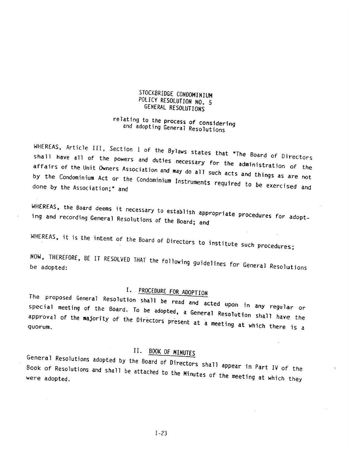### STOCKBRIDGE CONDOMINIUM<br>POLICY RESOLUTION NO. 5 GENERAL RESOLUTIONS

# relating to the process of COnsidering and adopting General Resolutons

WHEREAS, Article III, Section 1 of the Bylaws states that "The Board of Directors shall have all of the powers and duties necessary for the administration of the<br>affairs of the Unit Owners Association and may do all such acts and ii. by the Condominium Act or the Condominium Instruments required to be exercised and<br>done by the Association:" and affairs of the Unit Owners Association and may do all such acts and things as are not done by the Association;" and POLICY RESOLUTION NO. 5<br>
FOLICY RESOLUTIONS<br>
CENERAL RESOLUTIONS<br>
TREASE RESOLUTIONS<br>
TREASE RAIL RESOLUTIONS<br>
TREASE RAIL RESOLUTIONS<br>
TREASE RAIL SECTION NO. 5<br>
TREASE RAIL ARENT ARE RESOLUTIONS<br>
NHEREAS, Article III, Se

WHEREAS, the Board deems it necessary to establish appropriate procedures for adopt-<br>ing and recording General Resolutions of the Board; and

WHEREAS, it is the intent of the Board of Directors to institute such procedures;

NOW, THEREFORE, BE IT RESOLVED THAT the following guidelines for General Resolutions

### I. I.

The special proposed meeting General Resolution shall be read and acted upon in any regular or of the Board. To be adopted, a General Resolution shall have the approval of the majority of approval or the majority of the Directors present at a meeting at which there is a<br>quorum. The proposed General Resolution shall be read and acted upon in any regular or<br>special meeting of the Board. To be adopted, a General Resolution shall have the<br>approval of the majority of the Directors present at a meeting

II. BOOK OF MINUTES<br>General Resolutions adopted by the Board of Directors shall appear in Part IV of the were adopted. be attached to the Minutes of the meeting at which they

1—23 1—23